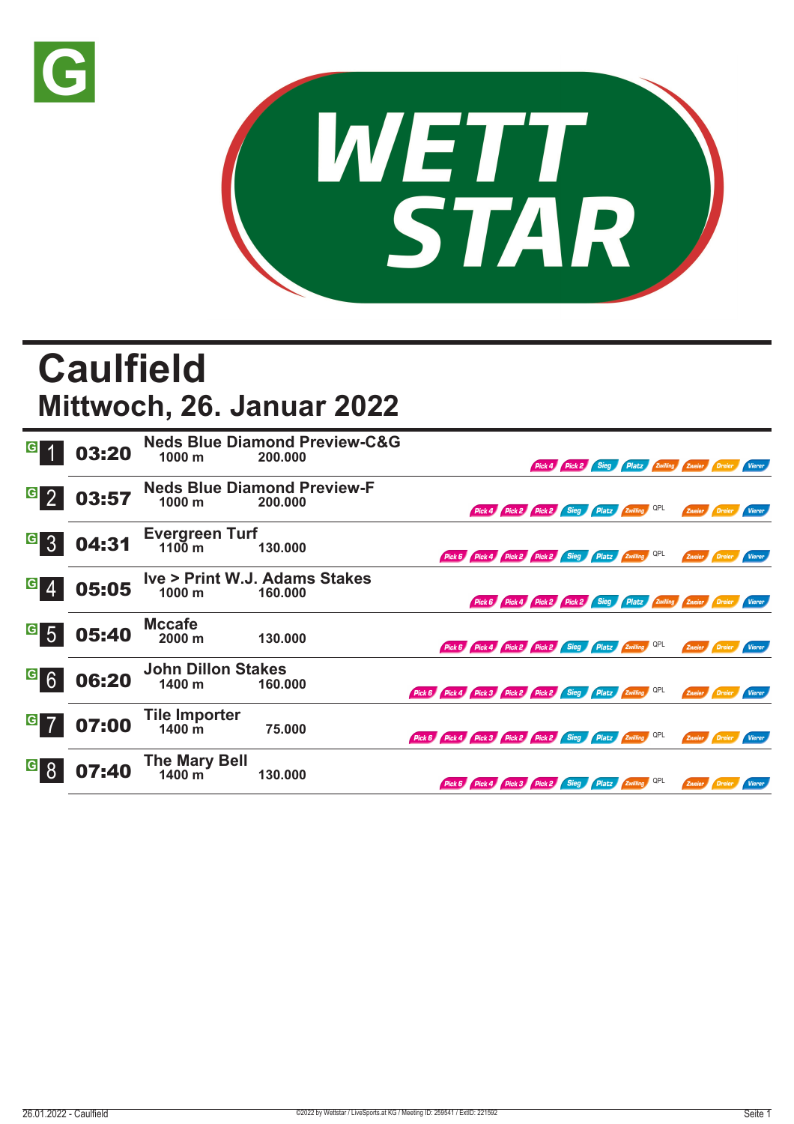



## **Caulfield Mittwoch, 26. Januar 2022**

| $\overline{G}$                    | 03:20 | 1000 m                                   | <b>Neds Blue Diamond Preview-C&amp;G</b><br>200.000 |                                                            |                                                     |  | Pick 4 Pick 2 Sieg Platz Zwilling Zweier Dreier               |  |               |                      | <b>Vierer</b> |
|-----------------------------------|-------|------------------------------------------|-----------------------------------------------------|------------------------------------------------------------|-----------------------------------------------------|--|---------------------------------------------------------------|--|---------------|----------------------|---------------|
| $\overline{G}$<br>$\mathcal{P}$   | 03:57 | 1000 m                                   | <b>Neds Blue Diamond Preview-F</b><br>200.000       |                                                            |                                                     |  | Pick 4 Pick 2 Pick 2 Sieg Platz Zwilling QPL                  |  | Zweier        |                      |               |
| $\vert G \vert$                   | 04:31 | Evergreen Turf                           | 130.000                                             |                                                            | Pick 6 Pick 4 Pick 2 Pick 2 Sieg Platz Zwilling QPL |  |                                                               |  | Zweier Dreier |                      | <b>Vierer</b> |
| $\mathbf{G}$                      | 05:05 | 1000 <sub>m</sub>                        | Ive > Print W.J. Adams Stakes<br>160.000            |                                                            |                                                     |  | Pick 6 Pick 4 Pick 2 Pick 2 Sieg Platz Zwilling Zweier Dreier |  |               |                      | <b>Vierer</b> |
| $\vert G \vert$<br>$\overline{5}$ | 05:40 | <b>Mccafe</b><br>2000 m                  | 130.000                                             |                                                            | Pick 6 Pick 4 Pick 2 Pick 2 Sieg Platz Zwilling QPL |  |                                                               |  | Zweier        |                      |               |
| $\vert G \vert$                   | 06:20 | <b>John Dillon Stakes</b><br>1400 m      | 160.000                                             | Pick 6 Pick 4 Pick 3 Pick 2 Pick 2 Sieg Platz Zwilling QPL |                                                     |  |                                                               |  |               | Zweier Dreier Vierer |               |
| $\vert G \vert$                   | 07:00 | <b>Tile Importer</b><br>$1400 \text{ m}$ | 75.000                                              | Pick 6 Pick 4 Pick 3 Pick 2 Pick 2 Sieg Platz Zwilling QPL |                                                     |  |                                                               |  | Zweier Dreier |                      | <b>Vierer</b> |
| $\overline{G}$                    | 07:40 | <b>The Mary Bell</b><br>1400 m           | 130.000                                             |                                                            | Pick 6 Pick 4 Pick 3 Pick 2 Sieg Platz Zwilling QPL |  |                                                               |  | Zweier        | Dreier               | <b>Vierer</b> |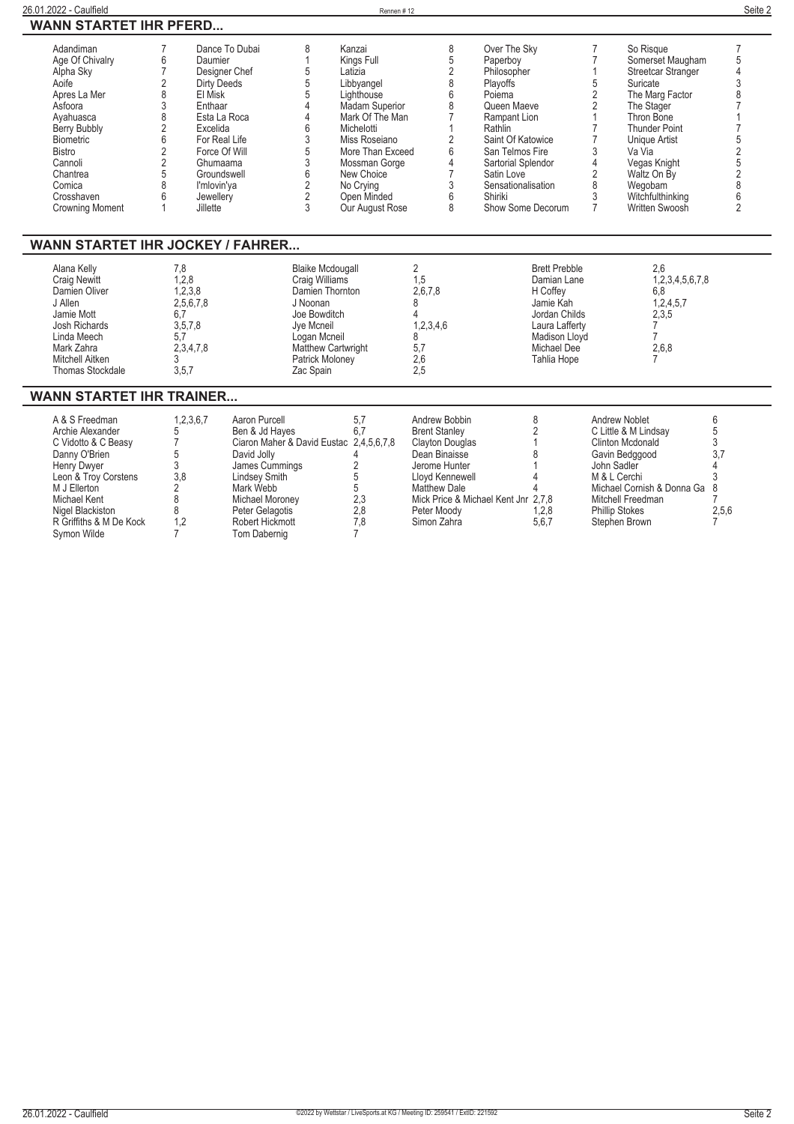| Adandiman<br>Age Of Chivalry<br>Alpha Sky<br>Aoife<br>Apres La Mer<br>Asfoora<br>Ayahuasca<br>Berry Bubbly<br><b>Biometric</b><br><b>Bistro</b><br>Cannoli<br>Chantrea<br>Comica<br>Crosshaven<br><b>Crowning Moment</b>                                  | 7<br>6<br>$\overline{7}$<br>2<br>8<br>3<br>8<br>2<br>6<br>2<br>$\overline{2}$<br>5<br>8<br>6<br>1 | Dance To Dubai<br>Daumier<br>Designer Chef<br><b>Dirty Deeds</b><br>El Misk<br>Enthaar<br>Esta La Roca<br>Excelida<br>For Real Life<br>Force Of Will<br>Ghumaama<br>Groundswell<br>l'mlovin'ya<br>Jewellery<br>Jillette | 8<br>5<br>5<br>6<br>3<br>5<br>3<br>6<br>$\overline{\mathbf{c}}$<br>2<br>3                                                                              | Kanzai<br>Kings Full<br>Latizia<br>Libbyangel<br>Lighthouse<br>Madam Superior<br>Mark Of The Man<br>Michelotti<br>Miss Roseiano<br>More Than Exceed<br>Mossman Gorge<br>New Choice<br>No Crying<br>Open Minded<br>Our August Rose | 8<br>$\frac{5}{2}$<br>8<br>6<br>8<br>$\overline{7}$<br>1<br>$\overline{2}$<br>6<br>$\overline{4}$<br>$\overline{7}$<br>$\sqrt{3}$<br>6<br>8                        | Over The Sky<br>Paperboy<br>Philosopher<br>Playoffs<br>Poiema<br>Queen Maeve<br>Rampant Lion<br>Rathlin<br>Saint Of Katowice<br>San Telmos Fire<br>Sartorial Splendor<br>Satin Love<br>Sensationalisation<br>Shiriki<br>Show Some Decorum | $\overline{7}$<br>$\mathbf{1}$<br>5<br>$\overline{2}$<br>$\mathbf{1}$<br>$\overline{7}$<br>$\overline{7}$<br>3<br>4<br>$\overline{2}$<br>8<br>3 | So Risque<br>Somerset Maugham<br>Streetcar Stranger<br>Suricate<br>$\overline{2}$<br>The Marg Factor<br>The Stager<br>Thron Bone<br><b>Thunder Point</b><br><b>Unique Artist</b><br>Va Via<br>Vegas Knight<br>Waltz On By<br>Wegobam<br>Witchfulthinking<br>$\overline{7}$<br>Written Swoosh | 7<br>5<br>$\overline{4}$<br>3<br>8<br>$\overline{7}$<br>$\overline{7}$<br>52586<br>$\overline{2}$ |
|-----------------------------------------------------------------------------------------------------------------------------------------------------------------------------------------------------------------------------------------------------------|---------------------------------------------------------------------------------------------------|-------------------------------------------------------------------------------------------------------------------------------------------------------------------------------------------------------------------------|--------------------------------------------------------------------------------------------------------------------------------------------------------|-----------------------------------------------------------------------------------------------------------------------------------------------------------------------------------------------------------------------------------|--------------------------------------------------------------------------------------------------------------------------------------------------------------------|-------------------------------------------------------------------------------------------------------------------------------------------------------------------------------------------------------------------------------------------|-------------------------------------------------------------------------------------------------------------------------------------------------|----------------------------------------------------------------------------------------------------------------------------------------------------------------------------------------------------------------------------------------------------------------------------------------------|---------------------------------------------------------------------------------------------------|
| WANN STARTET IHR JOCKEY / FAHRER<br>Alana Kelly<br><b>Craig Newitt</b><br>Damien Oliver<br>J Allen<br>Jamie Mott<br>Josh Richards<br>Linda Meech<br>Mark Zahra<br>Mitchell Aitken<br>Thomas Stockdale                                                     | 7,8<br>1,2,8<br>1,2,3,8<br>2,5,6,7,8<br>6,7<br>3, 5, 7, 8<br>5.7<br>2,3,4,7,8<br>3<br>3, 5, 7     |                                                                                                                                                                                                                         | <b>Blaike Mcdougall</b><br>Craig Williams<br>Damien Thornton<br>J Noonan<br>Joe Bowditch<br>Jye Mcneil<br>Logan Mcneil<br>Patrick Moloney<br>Zac Spain | Matthew Cartwright                                                                                                                                                                                                                | $\overline{2}$<br>1,5<br>2,6,7,8<br>8<br>4<br>1,2,3,4,6<br>8<br>5,7<br>2,6<br>2,5                                                                                  |                                                                                                                                                                                                                                           | <b>Brett Prebble</b><br>Damian Lane<br>H Coffey<br>Jamie Kah<br>Jordan Childs<br>Laura Lafferty<br>Madison Lloyd<br>Michael Dee<br>Tahlia Hope  | 2.6<br>1,2,3,4,5,6,7,8<br>6,8<br>1,2,4,5,7<br>2,3,5<br>7<br>$\overline{7}$<br>2,6,8                                                                                                                                                                                                          |                                                                                                   |
| <b>WANN STARTET IHR TRAINER</b><br>A & S Freedman<br>Archie Alexander<br>C Vidotto & C Beasy<br>Danny O'Brien<br>Henry Dwyer<br>Leon & Troy Corstens<br>M J Ellerton<br><b>Michael Kent</b><br>Nigel Blackiston<br>R Griffiths & M De Kock<br>Symon Wilde | 1,2,3,6,7<br>5<br>7<br>5<br>3<br>3,8<br>2<br>8<br>8<br>1,2<br>$\overline{7}$                      | Aaron Purcell<br>Ben & Jd Hayes<br>David Jolly<br>James Cummings<br><b>Lindsey Smith</b><br>Mark Webb<br>Michael Moroney<br>Peter Gelagotis<br>Robert Hickmott<br>Tom Dabernig                                          |                                                                                                                                                        | 5,7<br>6.7<br>Ciaron Maher & David Eustac 2,4,5,6,7,8<br>4<br>2<br>5<br>$\mathbf 5$<br>2,3<br>2,8<br>7,8<br>$\overline{7}$                                                                                                        | Andrew Bobbin<br><b>Brent Stanley</b><br>Clayton Douglas<br>Dean Binaisse<br>Jerome Hunter<br>Lloyd Kennewell<br><b>Matthew Dale</b><br>Peter Moody<br>Simon Zahra | 8<br>2<br>1<br>8<br>Mick Price & Michael Kent Jnr 2.7.8                                                                                                                                                                                   | 1,2,8<br>5,6,7                                                                                                                                  | <b>Andrew Noblet</b><br>C Little & M Lindsay<br>Clinton Mcdonald<br>Gavin Bedggood<br>John Sadler<br>M & L Cerchi<br>Michael Cornish & Donna Ga<br>Mitchell Freedman<br><b>Phillip Stokes</b><br>Stephen Brown                                                                               | 6<br>5<br>3<br>3,7<br>4<br>3<br>2,5,6<br>7                                                        |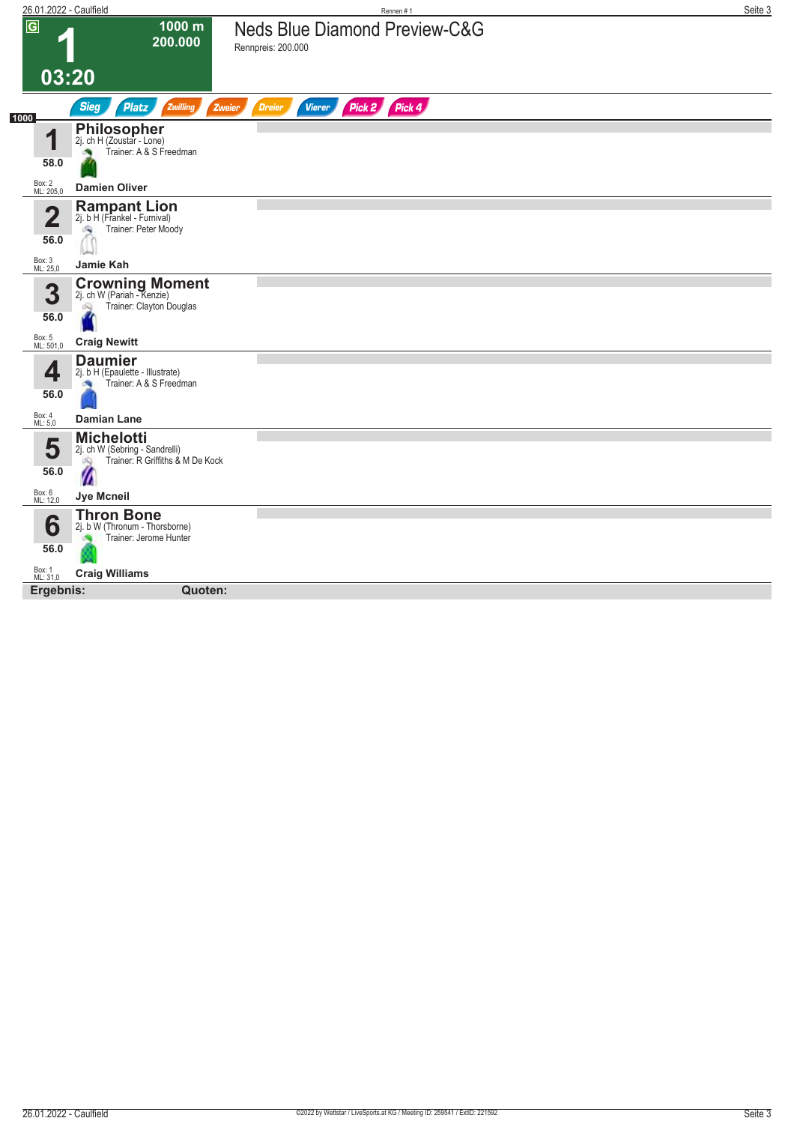|                     | 26.01.2022 - Caulfield                                                                        | Rennen#1                                                       | Seite 3 |
|---------------------|-----------------------------------------------------------------------------------------------|----------------------------------------------------------------|---------|
| $\overline{G}$      | 1000 m<br>200.000                                                                             | <b>Neds Blue Diamond Preview-C&amp;G</b><br>Rennpreis: 200.000 |         |
| 03:20               |                                                                                               |                                                                |         |
| 1000                | <b>Sieg</b><br><b>Platz</b><br>Zwilling<br>Zweier                                             | Pick 2 Pick 4<br><b>Dreier</b><br><b>Vierer</b>                |         |
| ◢<br>58.0           | <b>Philosopher</b><br>2j. ch H (Zoustar - Lone)<br>Trainer: A & S Freedman                    |                                                                |         |
| Box: 2<br>ML: 205,0 | <b>Damien Oliver</b>                                                                          |                                                                |         |
| n<br>56.0           | <b>Rampant Lion</b><br>2j. b H (Frankel - Furnival)<br>Trainer: Peter Moody<br>۵              |                                                                |         |
| Box: 3<br>ML: 25,0  | Jamie Kah                                                                                     |                                                                |         |
| 3<br>56.0           | <b>Crowning Moment</b> 2j. ch W (Pariah - Kenzie)<br>Trainer: Clayton Douglas<br>Q            |                                                                |         |
| Box: 5<br>ML: 501,0 | <b>Craig Newitt</b>                                                                           |                                                                |         |
| 4<br>56.0           | <b>Daumier</b><br>2j. b H (Epaulette - Illustrate)<br>Trainer: A & S Freedman                 |                                                                |         |
| Box: 4<br>ML: 5,0   | <b>Damian Lane</b>                                                                            |                                                                |         |
| 5<br>56.0           | <b>Michelotti</b><br>2j. ch W (Sebring - Sandrelli)<br>Trainer: R Griffiths & M De Kock<br>öQ |                                                                |         |
| Box: 6<br>ML: 12,0  | <b>Jye Mcneil</b>                                                                             |                                                                |         |
| 6<br>56.0           | <b>Thron Bone</b><br>2j. b W (Thronum - Thorsborne)<br>Trainer: Jerome Hunter                 |                                                                |         |
| Box: 1<br>ML: 31,0  | <b>Craig Williams</b>                                                                         |                                                                |         |
| Ergebnis:           | Quoten:                                                                                       |                                                                |         |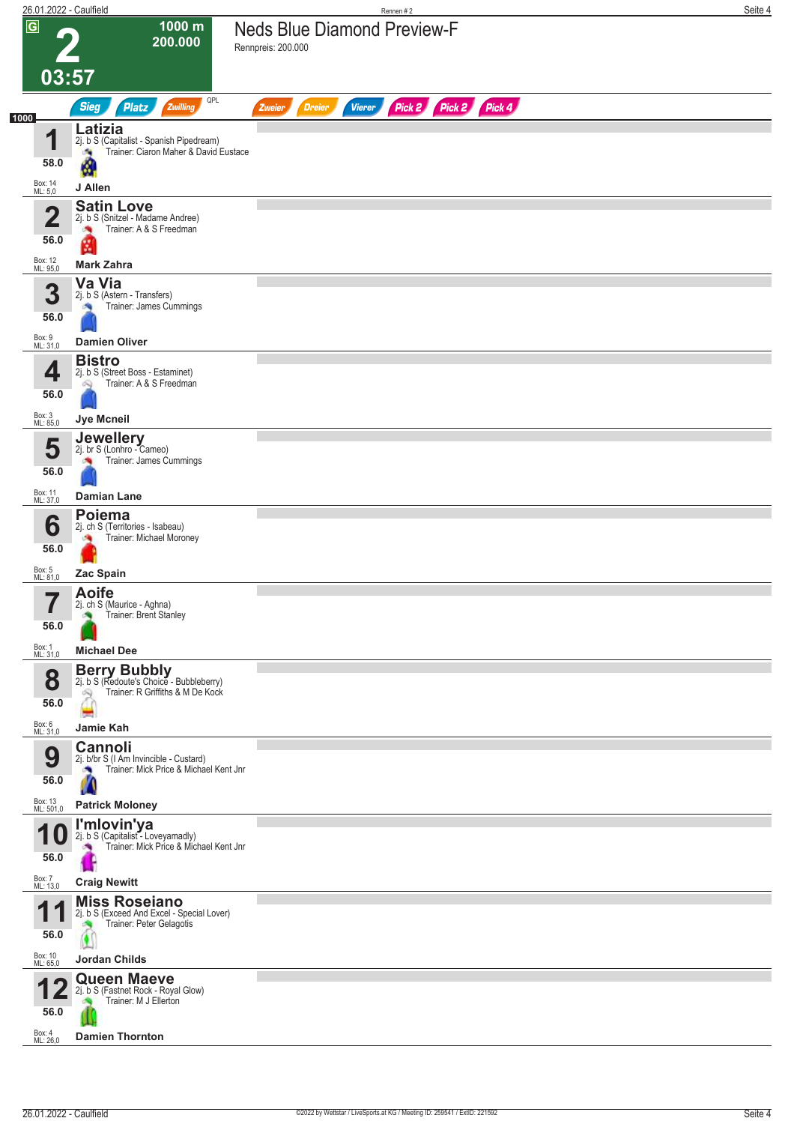|                         | 26.01.2022 - Caulfield                                                                                                        | Rennen #2                                                        | Seite 4 |
|-------------------------|-------------------------------------------------------------------------------------------------------------------------------|------------------------------------------------------------------|---------|
| $\overline{G}$          | 1000 m<br>200.000<br>03:57                                                                                                    | <b>Neds Blue Diamond Preview-F</b><br>Rennpreis: 200.000         |         |
|                         | QPL<br>Zwilling<br><b>Sieg</b><br><b>Platz</b>                                                                                | Pick 2 Pick 2 Pick 4<br><b>Dreier</b><br><b>Vierer</b><br>Zweier |         |
| 1000                    | Latizia                                                                                                                       |                                                                  |         |
| 4                       | 2j. b S (Capitalist - Spanish Pipedream)<br>Trainer: Ciaron Maher & David Eustace<br>a,<br>58.0<br>A                          |                                                                  |         |
| Box: 14<br>ML: 5,0      | J Allen                                                                                                                       |                                                                  |         |
| $\overline{\mathbf{2}}$ | <b>Satin Love</b><br>2j. b S (Snitzel - Madame Andree)<br>Trainer: A & S Freedman<br>×,<br>56.0<br>M.                         |                                                                  |         |
| Box: 12<br>ML: 95,0     | <b>Mark Zahra</b>                                                                                                             |                                                                  |         |
| 3                       | Va Via<br>2j. b S (Astern - Transfers)<br>Trainer: James Cummings<br>56.0                                                     |                                                                  |         |
| Box: 9<br>ML: 31,0      | <b>Damien Oliver</b>                                                                                                          |                                                                  |         |
| 4                       | <b>Bistro</b><br>2j. b S (Street Boss - Estaminet)<br>Trainer: A & S Freedman<br>Ñ<br>56.0                                    |                                                                  |         |
| Box: 3<br>ML: 85,0      | Jye Mcneil                                                                                                                    |                                                                  |         |
|                         | <b>Jewellery</b><br>2j. br S (Lonhro - Cameo)<br>5<br>Trainer: James Cummings<br>56.0                                         |                                                                  |         |
| Box: 11<br>ML: 37,0     | <b>Damian Lane</b>                                                                                                            |                                                                  |         |
|                         | <b>Poiema</b><br>6<br>2j. ch S (Territories - Isabeau)<br>Trainer: Michael Moroney<br>56.0                                    |                                                                  |         |
| Box: 5<br>ML: 81,0      | Zac Spain                                                                                                                     |                                                                  |         |
|                         | <b>Aoife</b><br>2j. ch S (Maurice - Aghna)<br>Trainer: Brent Stanley<br>56.0                                                  |                                                                  |         |
| Box: 1<br>ML: 31,0      | <b>Michael Dee</b>                                                                                                            |                                                                  |         |
| 8                       | <b>Berry Bubbly</b><br>2j. b S (Redoute's Choice - Bubbleberry)<br>Trainer: R Griffiths & M De Kock<br>Q<br>56.0              |                                                                  |         |
| Box: 6<br>ML: 31,0      | Jamie Kah                                                                                                                     |                                                                  |         |
| 9                       | <b>Cannoli</b><br>2j. b/br S (I Am Invincible - Custard)<br>Trainer: Mick Price & Michael Kent Jnr<br><b>CONTRACT</b><br>56.0 |                                                                  |         |
| Box: 13<br>ML: 501,0    | <b>Patrick Moloney</b>                                                                                                        |                                                                  |         |
| 1                       | I'mlovin'ya<br>2j. b S (Capitalist - Loveyamadly)<br>U<br>Trainer: Mick Price & Michael Kent Jnr<br>56.0                      |                                                                  |         |
| Box: 7<br>ML: 13,0      | <b>Craig Newitt</b>                                                                                                           |                                                                  |         |
| 1                       | <b>Miss Roseiano</b><br>1<br>2j. b S (Exceed And Excel - Special Lover)<br>Trainer: Peter Gelagotis<br>56.0                   |                                                                  |         |
| Box: 10<br>ML: 65,0     | <b>Jordan Childs</b>                                                                                                          |                                                                  |         |
|                         | <b>Queen Maeve</b><br>2j. b S (Fastnet Rock - Royal Glow)<br>Z.<br>Trainer: M J Ellerton<br>56.0                              |                                                                  |         |
| Box: 4<br>ML: 26,0      | <b>Damien Thornton</b>                                                                                                        |                                                                  |         |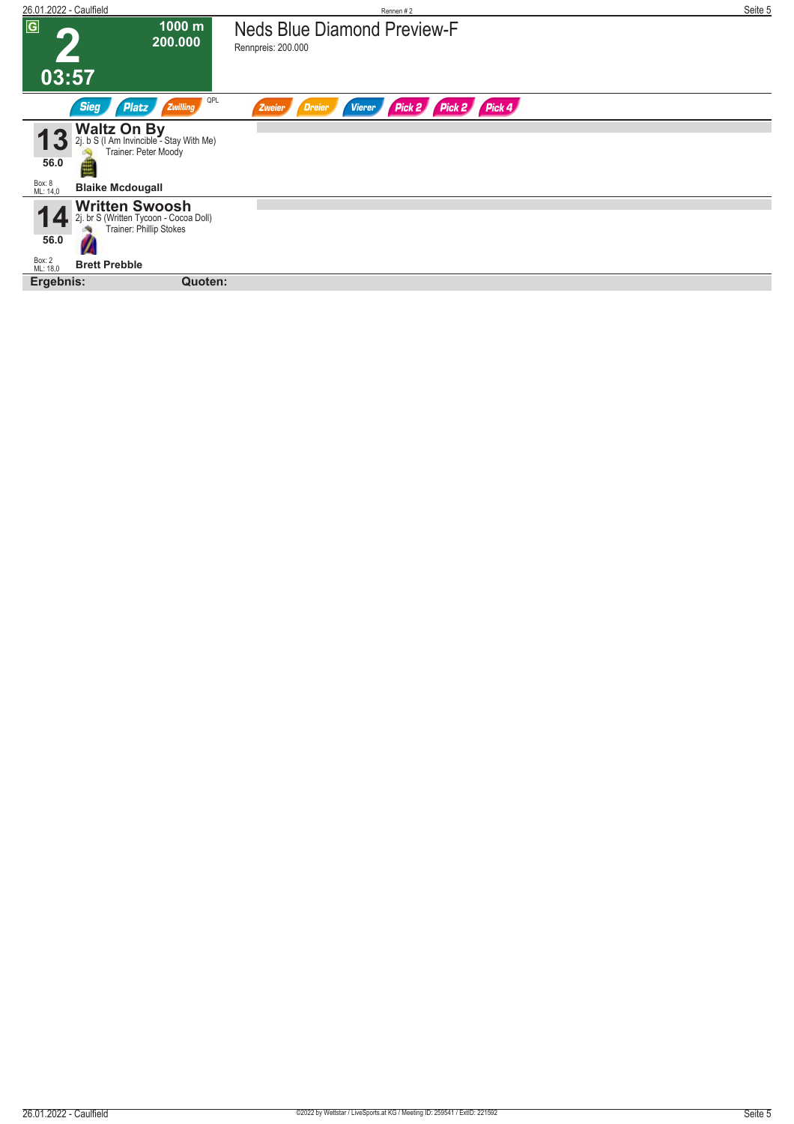| 26.01.2022 - Caulfield                                                                                                                         | Rennen#2                                                  | Seite 5 |
|------------------------------------------------------------------------------------------------------------------------------------------------|-----------------------------------------------------------|---------|
| $\overline{G}$<br>$1000 \text{ m}$<br>200.000                                                                                                  | <b>Neds Blue Diamond Preview-F</b><br>Rennpreis: 200.000  |         |
| 03:57                                                                                                                                          |                                                           |         |
| QPL<br><b>Sieg</b><br>Zwilling<br><b>Platz</b>                                                                                                 | Pick 2 Pick 2 Pick 4<br>Dreier<br><b>Vierer</b><br>Zweier |         |
| Discribed <b>Divides Configure 1</b><br>2j. b S (I Am Invincible - Stay With Me)<br><b>Configure 1</b> Trainer: Peter Moody<br>13<br>56.0<br>里 |                                                           |         |
| Box: 8<br>ML: 14,0<br><b>Blaike Mcdougall</b>                                                                                                  |                                                           |         |
| <b>Written Swoosh</b><br>2j. br S (Written Tycoon - Cocoa Doll)<br>Trainer: Phillip Stokes<br>56.0                                             |                                                           |         |
| Box: 2<br>ML: 18,0<br><b>Brett Prebble</b>                                                                                                     |                                                           |         |
| Ergebnis:<br>Quoten:                                                                                                                           |                                                           |         |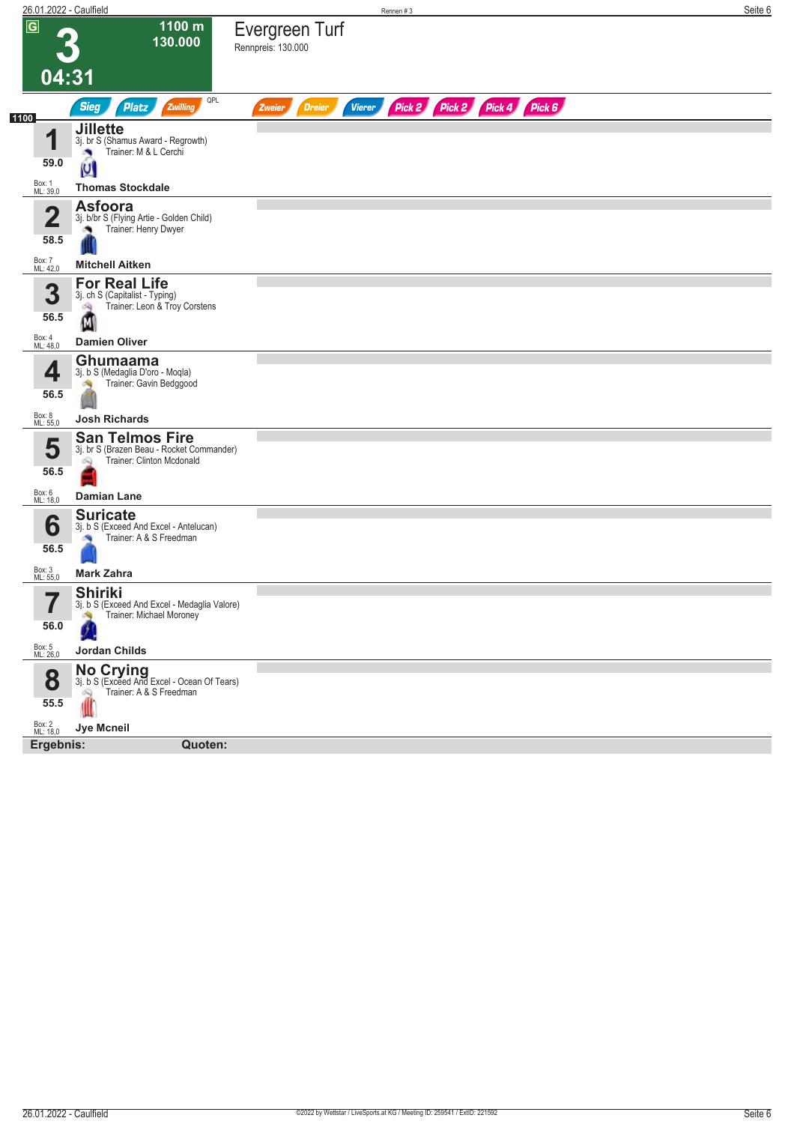| 26.01.2022 - Caulfield     |                                                                                                       | Rennen #3                                                               | Seite 6 |
|----------------------------|-------------------------------------------------------------------------------------------------------|-------------------------------------------------------------------------|---------|
| $\overline{G}$             | 1100 m<br>130.000                                                                                     | Evergreen Turf<br>Rennpreis: 130.000                                    |         |
| 04:31                      |                                                                                                       |                                                                         |         |
|                            | QPL<br>Sieg<br>Zwilling<br><b>Platz</b>                                                               | Pick 2 Pick 2 Pick 4 Pick 6<br><b>Dreier</b><br><b>Vierer</b><br>Zweier |         |
| 1100<br>一个                 | <b>Jillette</b><br>3j. br S (Shamus Award - Regrowth)<br>Trainer: M & L Cerchi<br>×                   |                                                                         |         |
| 59.0                       | U                                                                                                     |                                                                         |         |
| Box: 1<br>ML: 39,0         | <b>Thomas Stockdale</b>                                                                               |                                                                         |         |
| $\overline{2}$<br>58.5     | <b>Asfoora</b><br>3j. b/br S (Flying Artie - Golden Child)<br>Trainer: Henry Dwyer                    |                                                                         |         |
| Box: 7<br>ML: 42,0         | <b>Mitchell Aitken</b>                                                                                |                                                                         |         |
| 3<br>56.5                  | <b>For Real Life</b><br>3j. ch S (Capitalist - Typing)<br>Trainer: Leon & Troy Corstens<br>啕<br>Μ     |                                                                         |         |
| Box: 4<br>ML: 48,0         | <b>Damien Oliver</b>                                                                                  |                                                                         |         |
| 4<br>56.5                  | Ghumaama<br>3j. b S (Medaglia D'oro - Moqla)<br>Trainer: Gavin Bedggood<br>dia.                       |                                                                         |         |
| Box: 8<br>ML: 55,0         | <b>Josh Richards</b>                                                                                  |                                                                         |         |
| 5<br>56.5                  | <b>San Telmos Fire</b><br>3j. br S (Brazen Beau - Rocket Commander)<br>Trainer: Clinton Mcdonald<br>Q |                                                                         |         |
| Box: 6<br>ML: 18,0         | <b>Damian Lane</b>                                                                                    |                                                                         |         |
| 6<br>56.5                  | <b>Suricate</b><br>3j. b S (Exceed And Excel - Antelucan)<br>Trainer: A & S Freedman                  |                                                                         |         |
| Box: 3<br>ML: 55,0         | <b>Mark Zahra</b>                                                                                     |                                                                         |         |
| $\rightarrow$<br>I<br>56.0 | <b>Shiriki</b><br>3j. b S (Exceed And Excel - Medaglia Valore)<br>Trainer: Michael Moroney            |                                                                         |         |
| Box: 5<br>ML: 26,0         | Jordan Childs                                                                                         |                                                                         |         |
| 8<br>55.5                  | No Crying<br>3j. b S (Exceed And Excel - Ocean Of Tears)<br>Trainer: A & S Freedman<br>Ŵ              |                                                                         |         |
| Box: 2<br>ML: 18,0         | Jye Mcneil                                                                                            |                                                                         |         |
| Ergebnis:                  | Quoten:                                                                                               |                                                                         |         |
|                            |                                                                                                       |                                                                         |         |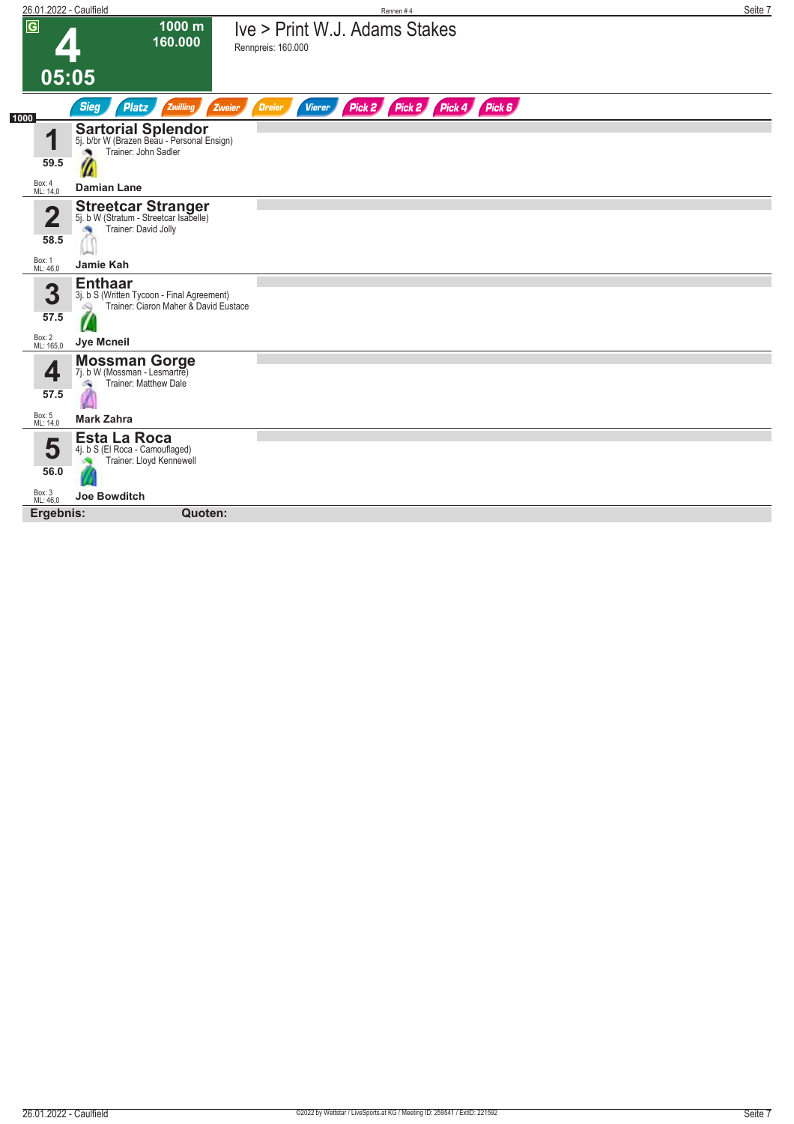| $\overline{G}$      |                                                                                                            |                                                               |  |
|---------------------|------------------------------------------------------------------------------------------------------------|---------------------------------------------------------------|--|
|                     | 1000 m<br>160.000                                                                                          | Ive > Print W.J. Adams Stakes<br>Rennpreis: 160.000           |  |
|                     | 05:05                                                                                                      |                                                               |  |
| 1000                | <b>Sieg</b><br>Platz<br>Zwilling<br>Zweier                                                                 | Pick 2 Pick 2 Pick 4 Pick 6<br><b>Vierer</b><br><b>Dreier</b> |  |
| И                   | <b>Sartorial Splendor</b><br>5j. b/br W (Brazen Beau - Personal Ensign)<br>Trainer: John Sadler            |                                                               |  |
| 59.5                |                                                                                                            |                                                               |  |
| Box: 4<br>ML: 14,0  | <b>Damian Lane</b>                                                                                         |                                                               |  |
| Ω                   | <b>Streetcar Stranger</b><br>5j. b W (Stratum - Streetcar Isabelle)<br>Trainer: David Jolly                |                                                               |  |
| 58.5                |                                                                                                            |                                                               |  |
| Box: 1<br>ML: 46,0  | Jamie Kah                                                                                                  |                                                               |  |
| 3                   | <b>Enthaar</b><br>3j. b S (Written Tycoon - Final Agreement)<br>Trainer: Ciaron Maher & David Eustace<br>வ |                                                               |  |
| 57.5                |                                                                                                            |                                                               |  |
| Box: 2<br>ML: 165,0 | <b>Jye Mcneil</b>                                                                                          |                                                               |  |
| 4<br>57.5           | <b>Mossman Gorge</b><br>7j. b W (Mossman - Lesmartre)<br>Trainer: Matthew Dale<br>a,                       |                                                               |  |
|                     |                                                                                                            |                                                               |  |
| Box: 5<br>ML: 14,0  | <b>Mark Zahra</b>                                                                                          |                                                               |  |
| 5                   | <b>Esta La Roca</b><br>4j. b S (El Roca - Camouflaged)<br>Trainer: Lloyd Kennewell                         |                                                               |  |
| 56.0                |                                                                                                            |                                                               |  |
| Box: 3<br>ML: 46,0  | <b>Joe Bowditch</b>                                                                                        |                                                               |  |
| Ergebnis:           | Quoten:                                                                                                    |                                                               |  |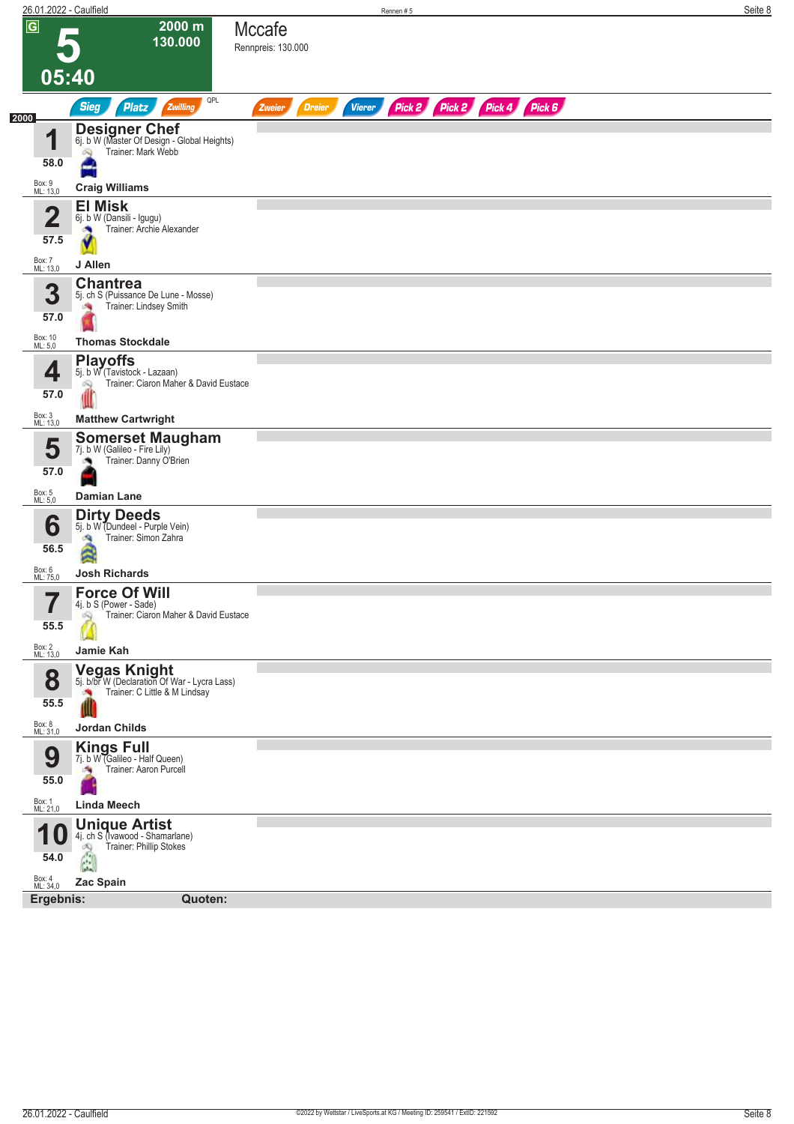| 26.01.2022 - Caulfield  |                                                                                                     | Rennen#5                                                                | Seite 8 |
|-------------------------|-----------------------------------------------------------------------------------------------------|-------------------------------------------------------------------------|---------|
| $\overline{\mathsf{G}}$ | 2000 m<br>130.000                                                                                   | Mccafe<br>Rennpreis: 130.000                                            |         |
|                         |                                                                                                     |                                                                         |         |
| 05:40                   |                                                                                                     |                                                                         |         |
| 2000                    | QPL<br>Sieg<br>Zwilling<br><b>Platz</b>                                                             | Pick 2 Pick 2 Pick 4 Pick 6<br><b>Dreier</b><br><b>Vierer</b><br>Zweier |         |
| 1                       | <b>Designer Chef</b> 6j. b W (Master Of Design - Global Heights)                                    |                                                                         |         |
| 58.0                    | Trainer: Mark Webb<br>$\infty$                                                                      |                                                                         |         |
| Box: 9<br>ML: 13,0      | <b>Craig Williams</b>                                                                               |                                                                         |         |
| $\overline{\mathbf{2}}$ | <b>El Misk</b><br>6j. b W (Dansili - Igugu)                                                         |                                                                         |         |
| 57.5                    | Trainer: Archie Alexander                                                                           |                                                                         |         |
| Box: 7<br>ML: 13,0      | J Allen                                                                                             |                                                                         |         |
| 3                       | <b>Chantrea</b>                                                                                     |                                                                         |         |
| 57.0                    | 5j. ch S (Puissance De Lune - Mosse)<br>Trainer: Lindsey Smith                                      |                                                                         |         |
| Box: 10<br>ML: 5,0      | <b>Thomas Stockdale</b>                                                                             |                                                                         |         |
|                         | <b>Playoffs</b>                                                                                     |                                                                         |         |
| 4                       | 5j. b W (Tavistock - Lazaan)<br>Trainer: Ciaron Maher & David Eustace<br>ôQ                         |                                                                         |         |
| 57.0                    |                                                                                                     |                                                                         |         |
| Box: 3<br>ML: 13,0      | <b>Matthew Cartwright</b><br><b>Somerset Maugham</b>                                                |                                                                         |         |
| 5                       | 7j. b W (Galileo - Fire Lily)<br>Trainer: Danny Ó'Brien                                             |                                                                         |         |
| 57.0                    |                                                                                                     |                                                                         |         |
| Box: 5<br>ML: 5,0       | <b>Damian Lane</b><br><b>Dirty Deeds</b>                                                            |                                                                         |         |
| 6                       | 5j. b W (Dundeel - Purple Vein)<br>Trainer: Simon Zahra<br>$\sigma_{\rm R}$                         |                                                                         |         |
| 56.5                    | ŝ                                                                                                   |                                                                         |         |
| Box: 6<br>ML: 75,0      | <b>Josh Richards</b>                                                                                |                                                                         |         |
| 5<br>I                  | <b>Force Of Will</b><br>4j. b S (Power - Sade)<br>Trainer: Ciaron Maher & David Eustace<br>$\infty$ |                                                                         |         |
| 55.5                    |                                                                                                     |                                                                         |         |
| Box: 2<br>ML: 13,0      | Jamie Kah                                                                                           |                                                                         |         |
| 8                       | <b>Vegas Knight</b><br>5j. b/br W (Declaration Of War - Lycra Lass)                                 |                                                                         |         |
| 55.5                    | Trainer: C Little & M Lindsay<br>×                                                                  |                                                                         |         |
| Box: 8<br>ML: 31,0      | Jordan Childs                                                                                       |                                                                         |         |
| 9                       | <b>Kings Full</b><br>7j. b W (Galileo - Half Queen)                                                 |                                                                         |         |
| 55.0                    | Trainer: Aaron Purcell<br>×.                                                                        |                                                                         |         |
| Box: 1<br>ML: 21,0      | <b>Linda Meech</b>                                                                                  |                                                                         |         |
| 10                      | <b>Unique Artist</b><br>4j. ch S (Ivawood - Shamarlane)                                             |                                                                         |         |
| 54.0                    | Trainer: Phillip Stokes<br><b>COL</b>                                                               |                                                                         |         |
| Box: 4<br>ML: 34,0      | Zac Spain                                                                                           |                                                                         |         |
| Ergebnis:               | Quoten:                                                                                             |                                                                         |         |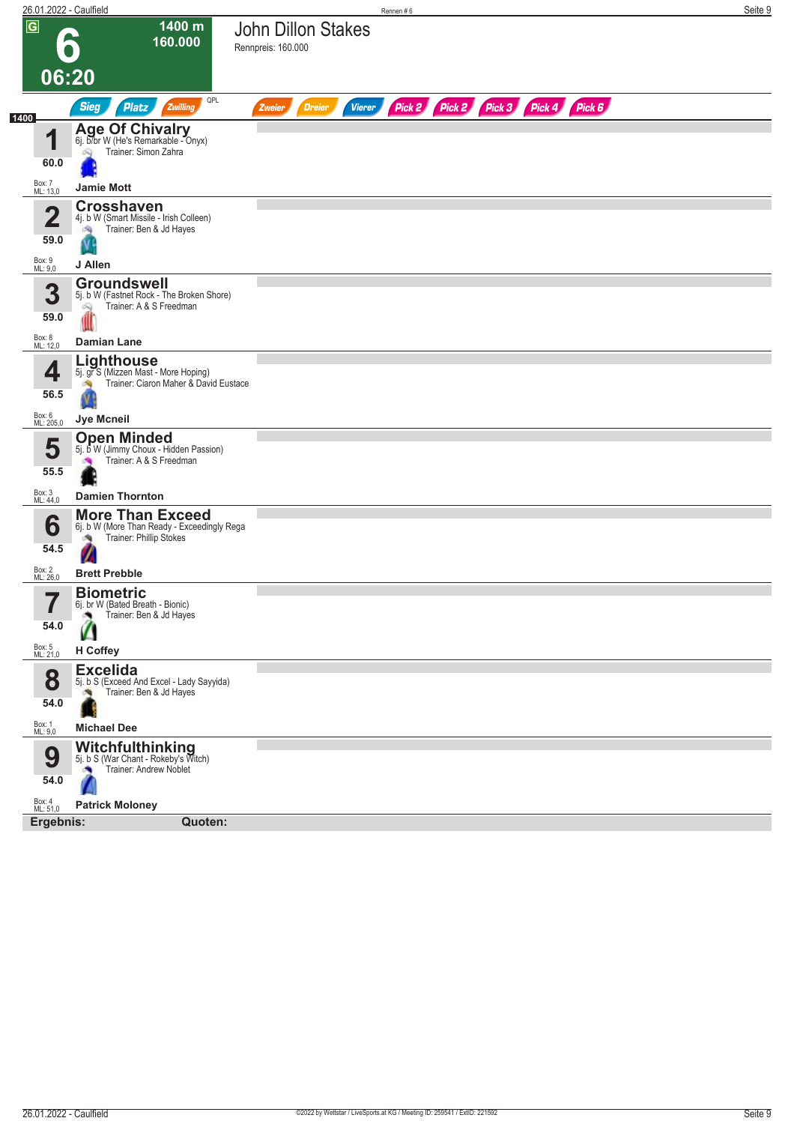|                     | 26.01.2022 - Caulfield                                                                  | Rennen#6                                        |                                    | Seite 9 |
|---------------------|-----------------------------------------------------------------------------------------|-------------------------------------------------|------------------------------------|---------|
| $\sqrt{G}$          | 1400 m<br>160.000                                                                       | <b>John Dillon Stakes</b><br>Rennpreis: 160.000 |                                    |         |
|                     | 06:20                                                                                   |                                                 |                                    |         |
|                     | QPL<br><b>Sieg</b><br><b>Platz</b><br>Zwilling                                          | <b>Vierer</b><br><b>Dreier</b><br>Zweier        | Pick 2 Pick 2 Pick 3 Pick 4 Pick 6 |         |
| 1400                |                                                                                         |                                                 |                                    |         |
| И                   | Age Of Chivalry<br>6j. b/br W (He's Remarkable - Onyx)<br>Trainer: Simon Zahra<br>öQ)   |                                                 |                                    |         |
| 60.0                |                                                                                         |                                                 |                                    |         |
| Box: 7<br>ML: 13,0  | <b>Jamie Mott</b>                                                                       |                                                 |                                    |         |
| 2                   | <b>Crosshaven</b><br>4j. b W (Smart Missile - Irish Colleen)                            |                                                 |                                    |         |
| 59.0                | Trainer: Ben & Jd Hayes<br>淘                                                            |                                                 |                                    |         |
| Box: 9<br>ML: 9,0   | J Allen                                                                                 |                                                 |                                    |         |
| 3                   | <b>Groundswell</b><br>5j. b W (Fastnet Rock - The Broken Shore)                         |                                                 |                                    |         |
| 59.0                | Trainer: A & S Freedman<br>Q                                                            |                                                 |                                    |         |
| Box: 8<br>ML: 12,0  | <b>Damian Lane</b>                                                                      |                                                 |                                    |         |
|                     | Lighthouse                                                                              |                                                 |                                    |         |
| 4                   | 5j. gr S (Mizzen Mast - More Hoping)<br>Trainer: Ciaron Maher & David Eustace           |                                                 |                                    |         |
| 56.5                |                                                                                         |                                                 |                                    |         |
| Box: 6<br>ML: 205,0 | Jye Mcneil                                                                              |                                                 |                                    |         |
| 5                   | <b>Open Minded</b><br>5j. b W (Jimmy Choux - Hidden Passion)<br>Trainer: A & S Freedman |                                                 |                                    |         |
| 55.5                |                                                                                         |                                                 |                                    |         |
| Box: 3<br>ML: 44,0  | <b>Damien Thornton</b>                                                                  |                                                 |                                    |         |
| 6                   | <b>More Than Exceed</b><br>6j. b W (More Than Ready - Exceedingly Rega                  |                                                 |                                    |         |
| 54.5                | Trainer: Phillip Stokes                                                                 |                                                 |                                    |         |
| Box: 2<br>ML: 26,0  | <b>Brett Prebble</b>                                                                    |                                                 |                                    |         |
| 7                   | <b>Biometric</b>                                                                        |                                                 |                                    |         |
| $\blacksquare$      | 6j. br W (Bated Breath - Bionic)<br>Trainer: Ben & Jd Hayes                             |                                                 |                                    |         |
| 54.0                |                                                                                         |                                                 |                                    |         |
| Box: 5<br>ML: 21,0  | H Coffey<br><b>Excelida</b>                                                             |                                                 |                                    |         |
| 8                   | 5j. b S (Exceed And Excel - Lady Sayyida)<br>Trainer: Ben & Jd Hayes<br>÷,              |                                                 |                                    |         |
| 54.0                |                                                                                         |                                                 |                                    |         |
| Box: 1<br>ML: 9,0   | <b>Michael Dee</b>                                                                      |                                                 |                                    |         |
| 9                   | Witchfulthinking<br>5j. b S (War Chant - Rokeby's Witch)                                |                                                 |                                    |         |
| 54.0                | Trainer: Andrew Noblet                                                                  |                                                 |                                    |         |
| Box: 4<br>ML: 51,0  | <b>Patrick Moloney</b>                                                                  |                                                 |                                    |         |
| Ergebnis:           | Quoten:                                                                                 |                                                 |                                    |         |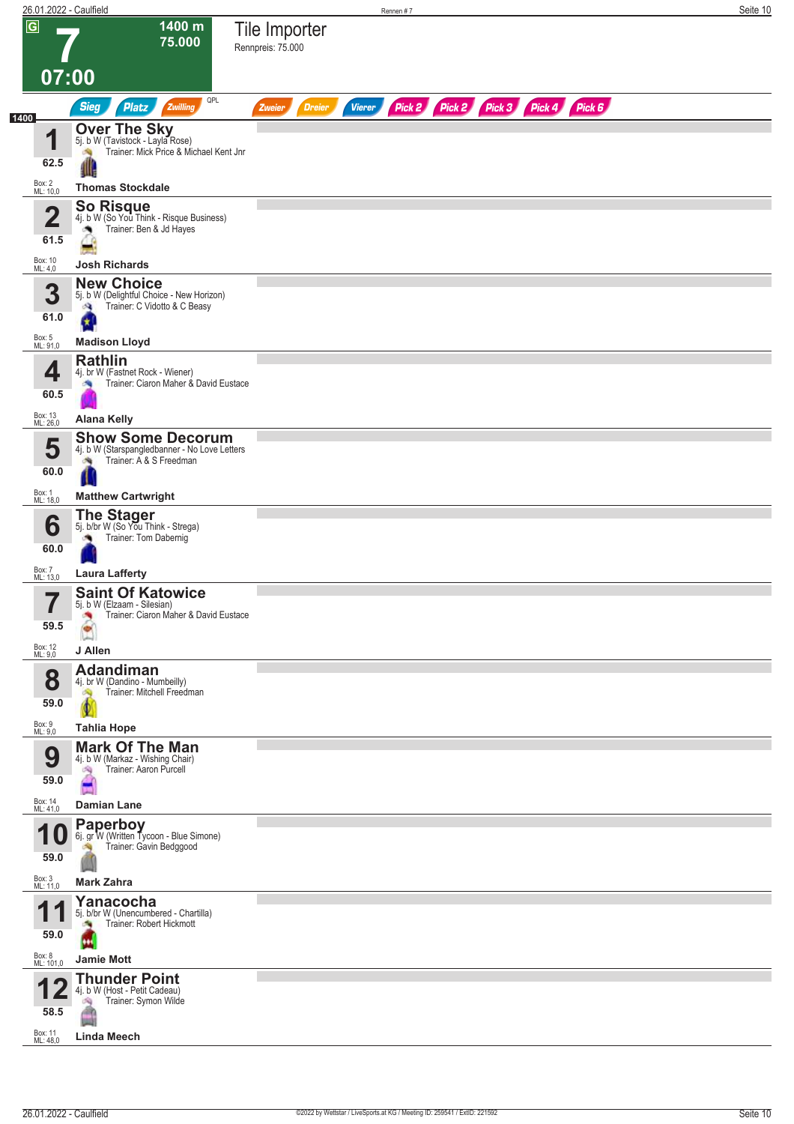|                |                                           | 26.01.2022 - Caulfield                                                                                                                 | Rennen #7                                                                      | Seite 10 |
|----------------|-------------------------------------------|----------------------------------------------------------------------------------------------------------------------------------------|--------------------------------------------------------------------------------|----------|
| $\overline{G}$ | 07:00                                     | 1400 m<br>75.000                                                                                                                       | Tile Importer<br>Rennpreis: 75.000                                             |          |
|                |                                           | QPL<br><b>Sieg</b><br><b>Platz</b><br>Zwilling                                                                                         | Pick 2 Pick 2 Pick 3 Pick 4 Pick 6<br><b>Dreier</b><br><b>Vierer</b><br>Zweier |          |
| 1400           | 4<br>62.5<br>Box: 2<br>ML: 10,0           | <b>Over The Sky</b><br>5j. b W (Tavistock - Layla Rose)<br>Trainer: Mick Price & Michael Kent Jnr<br>淘<br>业<br><b>Thomas Stockdale</b> |                                                                                |          |
|                | $\mathbf 2$<br>61.5<br>Box: 10<br>ML: 4,0 | <b>So Risque</b><br>4j. b W (So You Think - Risque Business)<br>Trainer: Ben & Jd Hayes<br><b>Josh Richards</b>                        |                                                                                |          |
|                | 3<br>61.0<br>Box: 5<br>ML: 91,0           | <b>New Choice</b><br>5j. b W (Delightful Choice - New Horizon)<br>Trainer: C Vidotto & C Beasy<br>Ø,<br><b>Madison Lloyd</b>           |                                                                                |          |
|                | 4<br>60.5<br>Box: 13<br>ML: 26,0          | <b>Rathlin</b><br>4j. br W (Fastnet Rock - Wiener)<br>Trainer: Ciaron Maher & David Eustace<br><b>Alana Kelly</b>                      |                                                                                |          |
|                | 5<br>60.0<br>Box: 1<br>ML: 18,0           | <b>Show Some Decorum</b><br>4j. b W (Starspangledbanner - No Love Letters<br>Trainer: A & S Freedman<br><b>Matthew Cartwright</b>      |                                                                                |          |
|                | 6<br>60.0<br>Box: 7                       | <b>The Stager</b><br>5j. b/br W (So You Think - Strega)<br>Trainer: Tom Dabernig                                                       |                                                                                |          |
|                | ML: 13,0<br>→                             | <b>Laura Lafferty</b><br><b>Saint Of Katowice</b><br>5j. b W (Elzaam - Silesian)                                                       |                                                                                |          |
|                | 59.5<br>Box: 12<br>ML: 9,0                | Trainer: Ciaron Maher & David Eustace<br>×<br>J Allen                                                                                  |                                                                                |          |
|                | 8<br>59.0                                 | <b>Adandiman</b><br>4j. br W (Dandino - Mumbeilly)<br>Trainer: Mitchell Freedman<br>ó.                                                 |                                                                                |          |
|                | Box: 9<br>ML: 9,0<br>9<br>59.0            | <b>Tahlia Hope</b><br><b>Mark Of The Man</b><br>4j. b W (Markaz - Wishing Chair)<br>Trainer: Aaron Purcell<br>i Sig                    |                                                                                |          |
|                | Box: 14<br>ML: 41,0<br>И                  | Damian Lane<br><b>Paperboy</b><br>6j. gr W (Written Tycoon - Blue Simone)<br>Trainer: Gavin Bedggood                                   |                                                                                |          |
|                | 59.0<br>Box: 3<br>ML: 11,0                | <b>Mark Zahra</b>                                                                                                                      |                                                                                |          |
|                | И.<br>59.0                                | Yanacocha<br>5j. b/br W (Unencumbered - Chartilla)<br>Trainer: Robert Hickmott                                                         |                                                                                |          |
|                | Box: 8<br>ML: 101,0<br>58.5               | <b>Jamie Mott</b><br><b>Thunder Point</b><br>4j. b W (Host - Petit Cadeau)<br>Trainer: Symon Wilde<br>陶                                |                                                                                |          |
|                | Box: 11<br>ML: 48,0                       | <b>Linda Meech</b>                                                                                                                     |                                                                                |          |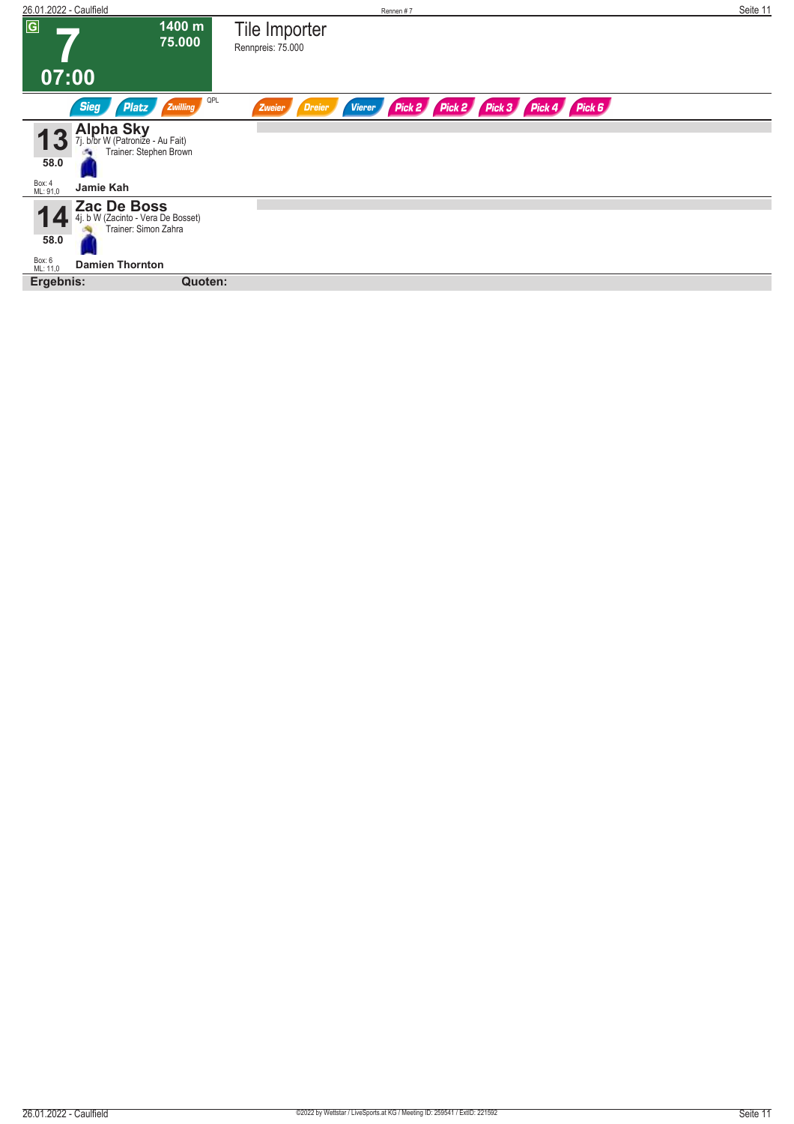| 26.01.2022 - Caulfield          |                                                                           |                                    | Rennen#7                |                             |  | Seite 11 |
|---------------------------------|---------------------------------------------------------------------------|------------------------------------|-------------------------|-----------------------------|--|----------|
| $\overline{G}$                  | 1400 m<br>75.000                                                          | Tile Importer<br>Rennpreis: 75.000 |                         |                             |  |          |
| 07:00                           |                                                                           |                                    |                         |                             |  |          |
| <b>Sieg</b>                     | QPL<br>Platz<br>Zwilling                                                  | Dreier<br>Zweier                   | Pick 2<br><b>Vierer</b> | Pick 2 Pick 3 Pick 4 Pick 6 |  |          |
| 58.0                            | Alpha Sky<br>7j. b/br W (Patronize - Au Fait)<br>Trainer: Stephen Brown   |                                    |                         |                             |  |          |
| Box: 4<br>ML: 91,0<br>Jamie Kah |                                                                           |                                    |                         |                             |  |          |
| 58.0                            | Zac De Boss<br>4j. b W (Zacinto - Vera De Bosset)<br>Trainer: Simon Zahra |                                    |                         |                             |  |          |
| Box: 6<br>ML: 11,0              | <b>Damien Thornton</b>                                                    |                                    |                         |                             |  |          |
| Ergebnis:                       | Quoten:                                                                   |                                    |                         |                             |  |          |
|                                 |                                                                           |                                    |                         |                             |  |          |